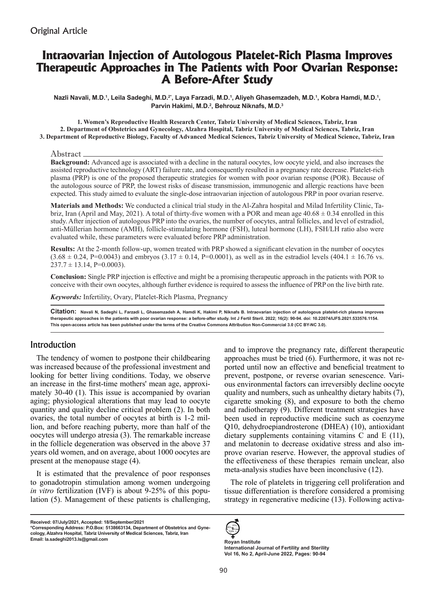# **Intraovarian Injection of Autologous Platelet-Rich Plasma Improves Therapeutic Approaches in The Patients with Poor Ovarian Response: A Before-After Study**

Nazli Navali, M.D.<sup>1</sup>, Leila Sadeghi, M.D.<sup>z</sup>', Laya Farzadi, M.D.<sup>1</sup>, Aliyeh Ghasemzadeh, M.D.<sup>1</sup>, Kobra Hamdi, M.D.<sup>1</sup>, **Parvin Hakimi, M.D.2 , Behrouz Niknafs, M.D.3**

**1. Women's Reproductive Health Research Center, Tabriz University of Medical Sciences, Tabriz, Iran 2. Department of Obstetrics and Gynecology, Alzahra Hospital, Tabriz University of Medical Sciences, Tabriz, Iran 3. Department of Reproductive Biology, Faculty of Advanced Medical Sciences, Tabriz University of Medical Science, Tabriz, Iran** 

#### Abstract

**Background:** Advanced age is associated with a decline in the natural oocytes, low oocyte yield, and also increases the assisted reproductive technology (ART) failure rate, and consequently resulted in a pregnancy rate decrease. Platelet-rich plasma (PRP) is one of the proposed therapeutic strategies for women with poor ovarian response (POR). Because of the autologous source of PRP, the lowest risks of disease transmission, immunogenic and allergic reactions have been expected. This study aimed to evaluate the single-dose intraovarian injection of autologous PRP in poor ovarian reserve.

**Materials and Methods:** We conducted a clinical trial study in the Al-Zahra hospital and Milad Infertility Clinic, Tabriz, Iran (April and May, 2021). A total of thirty-five women with a POR and mean age  $40.68 \pm 0.34$  enrolled in this study. After injection of autologous PRP into the ovaries, the number of oocytes, antral follicles, and level of estradiol, anti-Müllerian hormone (AMH), follicle-stimulating hormone (FSH), luteal hormone (LH), FSH/LH ratio also were evaluated while, these parameters were evaluated before PRP administration.

**Results:** At the 2-month follow-up, women treated with PRP showed a significant elevation in the number of oocytes  $(3.68 \pm 0.24, P=0.0043)$  and embryos  $(3.17 \pm 0.14, P=0.0001)$ , as well as in the estradiol levels  $(404.1 \pm 16.76)$  vs.  $237.7 \pm 13.14$ , P=0.0003).

**Conclusion:** Single PRP injection is effective and might be a promising therapeutic approach in the patients with POR to conceive with their own oocytes, although further evidence is required to assess the influence of PRP on the live birth rate.

*Keywords:* Infertility, Ovary, Platelet-Rich Plasma, Pregnancy

**Citation: Navali N, Sadeghi L, Farzadi L, Ghasemzadeh A, Hamdi K, Hakimi P, Niknafs B. Intraovarian injection of autologous platelet-rich plasma improves therapeutic approaches in the patients with poor ovarian response: a before-after study. Int J Fertil Steril. 2022; 16(2): 90-94. doi: 10.22074/IJFS.2021.533576.1154. This open-access article has been published under the terms of the Creative Commons Attribution Non-Commercial 3.0 (CC BY-NC 3.0).**

## Introduction

The tendency of women to postpone their childbearing was increased because of the professional investment and looking for better living conditions. Today, we observe an increase in the first-time mothers' mean age, approximately 30-40 (1). This issue is accompanied by ovarian aging; physiological alterations that may lead to oocyte quantity and quality decline critical problem (2). In both ovaries, the total number of oocytes at birth is 1-2 million, and before reaching puberty, more than half of the oocytes will undergo atresia (3). The remarkable increase in the follicle degeneration was observed in the above 37 years old women, and on average, about 1000 oocytes are present at the menopause stage (4).

It is estimated that the prevalence of poor responses to gonadotropin stimulation among women undergoing *in vitro* fertilization (IVF) is about 9-25% of this population (5). Management of these patients is challenging,

and to improve the pregnancy rate, different therapeutic approaches must be tried (6). Furthermore, it was not reported until now an effective and beneficial treatment to prevent, postpone, or reverse ovarian senescence. Various environmental factors can irreversibly decline oocyte quality and numbers, such as unhealthy dietary habits (7), cigarette smoking (8), and exposure to both the chemo and radiotherapy (9). Different treatment strategies have been used in reproductive medicine such as coenzyme Q10, dehydroepiandrosterone (DHEA) (10), antioxidant dietary supplements containing vitamins C and E (11), and melatonin to decrease oxidative stress and also improve ovarian reserve. However, the approval studies of the effectiveness of these therapies remain unclear, also meta-analysis studies have been inconclusive (12).

The role of platelets in triggering cell proliferation and tissue differentiation is therefore considered a promising strategy in regenerative medicine (13). Following activa-



**International Journal of Fertility and Sterility Vol 16, No 2, April-June 2022, Pages: 90-94**

**Received: 07/July/2021, Accepted: 18/September/2021**

**<sup>\*</sup>Corresponding Address: P.O.Box: 5138663134, Department of Obstetrics and Gynecology, Alzahra Hospital, Tabriz University of Medical Sciences, Tabriz, Iran Email: la.sadeghi2013.ls@gmail.com Royan Institute**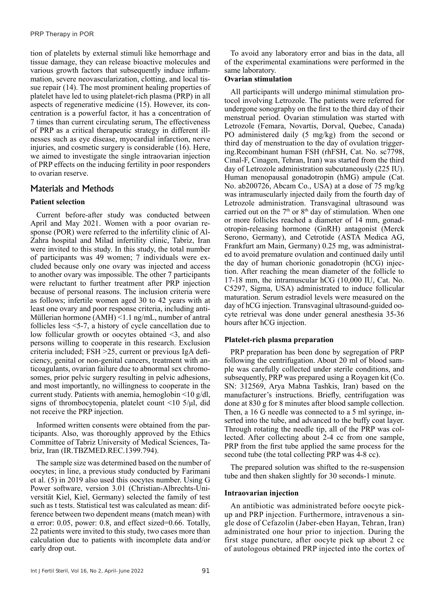tion of platelets by external stimuli like hemorrhage and tissue damage, they can release bioactive molecules and various growth factors that subsequently induce inflammation, severe neovascularization, clotting, and local tissue repair (14). The most prominent healing properties of platelet have led to using platelet-rich plasma (PRP) in all aspects of regenerative medicine (15). However, its concentration is a powerful factor, it has a concentration of 7 times than current circulating serum, The effectiveness of PRP as a critical therapeutic strategy in different illnesses such as eye disease, myocardial infarction, nerve injuries, and cosmetic surgery is considerable (16). Here, we aimed to investigate the single intraovarian injection of PRP effects on the inducing fertility in poor responders to ovarian reserve.

# Materials and Methods

## **Patient selection**

Current before-after study was conducted between April and May 2021. Women with a poor ovarian response (POR) were referred to the infertility clinic of Al-Zahra hospital and Milad infertility clinic, Tabriz, Iran were invited to this study. In this study, the total number of participants was 49 women; 7 individuals were excluded because only one ovary was injected and access to another ovary was impossible. The other 7 participants were reluctant to further treatment after PRP injection because of personal reasons. The inclusion criteria were as follows; infertile women aged 30 to 42 years with at least one ovary and poor response criteria, including anti-Müllerian hormone (AMH) <1.1 ng/mL, number of antral follicles less <5-7, a history of cycle cancellation due to low follicular growth or oocytes obtained <3, and also persons willing to cooperate in this research. Exclusion criteria included; FSH >25, current or previous IgA deficiency, genital or non-genital cancers, treatment with anticoagulants, ovarian failure due to abnormal sex chromosomes, prior pelvic surgery resulting in pelvic adhesions, and most importantly, no willingness to cooperate in the current study. Patients with anemia, hemoglobin ˂10 g/dl, signs of thrombocytopenia, platelet count  $\langle 10 \, 5/\mu \, \rangle$  did not receive the PRP injection.

Informed written consents were obtained from the participants. Also, was thoroughly approved by the Ethics Committee of Tabriz University of Medical Sciences, Tabriz, Iran (IR.TBZMED.REC.1399.794).

The sample size was determined based on the number of oocytes; in line, a previous study conducted by Farimani et al. (5) in 2019 also used this oocytes number. Using G Power software, version 3.01 (Christian-Albrechts-Universität Kiel, Kiel, Germany) selected the family of test such as t tests. Statistical test was calculated as mean: difference between two dependent means (match mean) with  $\alpha$  error: 0.05, power: 0.8, and effect sized=0.66. Totally, 22 patients were invited to this study, two cases more than calculation due to patients with incomplete data and/or early drop out.

To avoid any laboratory error and bias in the data, all of the experimental examinations were performed in the same laboratory.

## **Ovarian stimulation**

All participants will undergo minimal stimulation protocol involving Letrozole. The patients were referred for undergone sonography on the first to the third day of their menstrual period. Ovarian stimulation was started with Letrozole (Femara, Novartis, Dorval, Quebec, Canada) PO administered daily (5 mg/kg) from the second or third day of menstruation to the day of ovulation triggering.Recombinant human FSH (rhFSH, Cat. No. sc7798, Cinal-F, Cinagen, Tehran, Iran) was started from the third day of Letrozole administration subcutaneously (225 IU). Human menopausal gonadotropin (hMG) ampule (Cat. No. ab200726, Abcam Co., USA) at a dose of 75 mg/kg was intramuscularly injected daily from the fourth day of Letrozole administration. Transvaginal ultrasound was carried out on the  $7<sup>th</sup>$  or  $8<sup>th</sup>$  day of stimulation. When one or more follicles reached a diameter of 14 mm, gonadotropin-releasing hormone (GnRH) antagonist (Merck Serono, Germany), and Cetrotide (ASTA Medica AG, Frankfurt am Main, Germany) 0.25 mg, was administrated to avoid premature ovulation and continued daily until the day of human chorionic gonadotropin (hCG) injection. After reaching the mean diameter of the follicle to 17-18 mm, the intramuscular hCG (10,000 IU, Cat. No. C5297, Sigma, USA) administrated to induce follicular maturation. Serum estradiol levels were measured on the day of hCG injection. Transvaginal ultrasound-guided oocyte retrieval was done under general anesthesia 35-36 hours after hCG injection.

## **Platelet-rich plasma preparation**

PRP preparation has been done by segregation of PRP following the centrifugation. About 20 ml of blood sample was carefully collected under sterile conditions, and subsequently, PRP was prepared using a Royagen kit (Co. SN: 312569, Arya Mabna Tashkis, Iran) based on the manufacturer's instructions. Briefly, centrifugation was done at 830 g for 8 minutes after blood sample collection. Then, a 16 G needle was connected to a 5 ml syringe, inserted into the tube, and advanced to the buffy coat layer. Through rotating the needle tip, all of the PRP was collected. After collecting about 2-4 cc from one sample, PRP from the first tube applied the same process for the second tube (the total collecting PRP was 4-8 cc).

The prepared solution was shifted to the re-suspension tube and then shaken slightly for 30 seconds-1 minute.

#### **Intraovarian injection**

An antibiotic was administrated before oocyte pickup and PRP injection. Furthermore, intravenous a single dose of Cefazolin (Jaber-eben Hayan, Tehran, Iran) administrated one hour prior to injection. During the first stage puncture, after oocyte pick up about 2 cc of autologous obtained PRP injected into the cortex of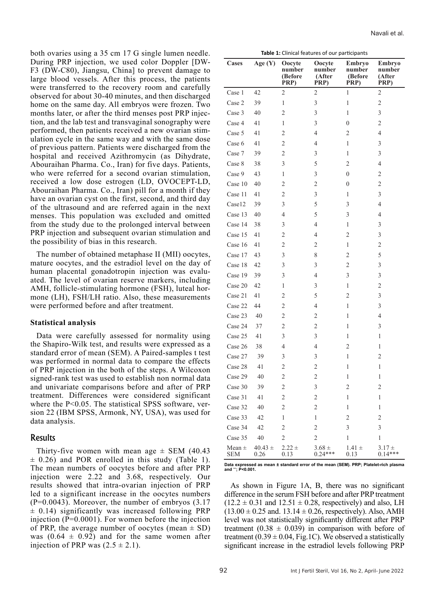both ovaries using a 35 cm 17 G single lumen needle. During PRP injection, we used color Doppler [DW-F3 (DW-C80), Jiangsu, China] to prevent damage to large blood vessels. After this process, the patients were transferred to the recovery room and carefully observed for about 30-40 minutes, and then discharged home on the same day. All embryos were frozen. Two months later, or after the third menses post PRP injection, and the lab test and transvaginal sonography were performed, then patients received a new ovarian stimulation cycle in the same way and with the same dose of previous pattern. Patients were discharged from the hospital and received Azithromycin (as Dihydrate, Abouraihan Pharma. Co., Iran) for five days. Patients, who were referred for a second ovarian stimulation, received a low dose estrogen (LD, OVOCEPT-LD, Abouraihan Pharma. Co., Iran) pill for a month if they have an ovarian cyst on the first, second, and third day of the ultrasound and are referred again in the next menses. This population was excluded and omitted from the study due to the prolonged interval between PRP injection and subsequent ovarian stimulation and the possibility of bias in this research.

The number of obtained metaphase II (MII) oocytes, mature oocytes, and the estradiol level on the day of human placental gonadotropin injection was evaluated. The level of ovarian reserve markers, including AMH, follicle-stimulating hormone (FSH), luteal hormone (LH), FSH/LH ratio. Also, these measurements were performed before and after treatment.

## **Statistical analysis**

Data were carefully assessed for normality using the Shapiro-Wilk test, and results were expressed as a standard error of mean (SEM). A Paired-samples t test was performed in normal data to compare the effects of PRP injection in the both of the steps. A Wilcoxon signed-rank test was used to establish non normal data and univariate comparisons before and after of PRP treatment. Differences were considered significant where the P<0.05. The statistical SPSS software, version 22 (IBM SPSS, Armonk, NY, USA), was used for data analysis.

## Results

Thirty-five women with mean age  $\pm$  SEM (40.43)  $\pm$  0.26) and POR enrolled in this study (Table 1). The mean numbers of oocytes before and after PRP injection were 2.22 and 3.68, respectively. Our results showed that intra-ovarian injection of PRP led to a significant increase in the oocytes numbers (P=0.0043). Moreover, the number of embryos (3.17  $\pm$  0.14) significantly was increased following PRP injection (P=0.0001). For women before the injection of PRP, the average number of oocytes (mean  $\pm$  SD) was  $(0.64 \pm 0.92)$  and for the same women after injection of PRP was  $(2.5 \pm 2.1)$ .

| Cases                    | Age (Y)             | Oocyte<br>number<br>(Before<br>PRP) | Oocyte<br>number<br>(After<br>PRP) | Embryo<br>number<br>(Before<br>PRP) | Embryo<br>number<br>(After<br>PRP) |
|--------------------------|---------------------|-------------------------------------|------------------------------------|-------------------------------------|------------------------------------|
| Case 1                   | 42                  | $\overline{c}$                      | $\overline{c}$                     | $\mathbf{1}$                        | $\overline{c}$                     |
| Case 2                   | 39                  | $\mathbf{1}$                        | 3                                  | $\mathbf{1}$                        | $\overline{c}$                     |
| Case 3                   | 40                  | $\overline{c}$                      | 3                                  | 1                                   | 3                                  |
| Case 4                   | 41                  | 1                                   | 3                                  | $\theta$                            | $\overline{2}$                     |
| Case 5                   | 41                  | $\overline{c}$                      | 4                                  | $\overline{2}$                      | 4                                  |
| Case 6                   | 41                  | $\overline{c}$                      | $\overline{4}$                     | 1                                   | 3                                  |
| Case 7                   | 39                  | $\overline{c}$                      | 3                                  | $\mathbf{1}$                        | 3                                  |
| Case 8                   | 38                  | 3                                   | 5                                  | $\overline{2}$                      | $\overline{4}$                     |
| Case 9                   | 43                  | $\mathbf{1}$                        | 3                                  | $\boldsymbol{0}$                    | $\overline{2}$                     |
| Case 10                  | 40                  | $\overline{c}$                      | $\overline{c}$                     | $\theta$                            | $\overline{2}$                     |
| Case 11                  | 41                  | $\overline{c}$                      | 3                                  | 1                                   | 3                                  |
| Case12                   | 39                  | 3                                   | 5                                  | 3                                   | $\overline{4}$                     |
| Case 13                  | 40                  | $\overline{4}$                      | 5                                  | 3                                   | $\overline{4}$                     |
| Case 14                  | 38                  | 3                                   | 4                                  | 1                                   | 3                                  |
| Case 15                  | 41                  | $\overline{2}$                      | 4                                  | $\overline{2}$                      | 3                                  |
| Case 16                  | 41                  | $\overline{c}$                      | $\overline{2}$                     | $\mathbf{1}$                        | $\overline{2}$                     |
| Case 17                  | 43                  | 3                                   | 8                                  | $\overline{c}$                      | 5                                  |
| Case 18                  | 42                  | 3                                   | 3                                  | $\overline{2}$                      | 3                                  |
| Case 19                  | 39                  | 3                                   | 4                                  | 3                                   | 3                                  |
| Case 20                  | 42                  | $\mathbf{1}$                        | 3                                  | $\mathbf{1}$                        | $\overline{2}$                     |
| Case 21                  | 41                  | $\overline{2}$                      | 5                                  | $\overline{2}$                      | 3                                  |
| Case 22                  | 44                  | $\overline{c}$                      | $\overline{4}$                     | $\mathbf{1}$                        | 3                                  |
| Case 23                  | 40                  | $\overline{c}$                      | $\overline{2}$                     | $\mathbf{1}$                        | 4                                  |
| Case 24                  | 37                  | $\overline{2}$                      | $\overline{2}$                     | 1                                   | 3                                  |
| Case 25                  | 41                  | 3                                   | 3                                  | 1                                   | 1                                  |
| Case 26                  | 38                  | $\overline{4}$                      | $\overline{4}$                     | $\overline{c}$                      | 1                                  |
| Case 27                  | 39                  | 3                                   | 3                                  | $\mathbf{1}$                        | $\overline{2}$                     |
| Case 28                  | 41                  | $\overline{2}$                      | $\overline{c}$                     | $\mathbf{1}$                        | $\mathbf{1}$                       |
| Case 29                  | 40                  | $\overline{c}$                      | $\overline{c}$                     | $\mathbf{1}$                        | $\mathbf 1$                        |
| Case 30                  | 39                  | $\overline{c}$                      | 3                                  | $\overline{c}$                      | $\overline{c}$                     |
| Case 31                  | 41                  | $\overline{c}$                      | $\overline{2}$                     | $\,1$                               | $\,1$                              |
| Case 32                  | 40                  | $\overline{c}$                      | $\overline{2}$                     | $\mathbf{1}$                        | $\mathbf{1}$                       |
| Case 33                  | 42                  | $\mathbf{1}$                        | 1                                  | $\overline{2}$                      | $\overline{2}$                     |
| Case 34                  | 42                  | $\overline{2}$                      | $\overline{2}$                     | 3                                   | 3                                  |
| Case 35                  | 40                  | $\overline{c}$                      | $\overline{2}$                     | $\mathbf{1}$                        | $\,1$                              |
| Mean $\pm$<br><b>SEM</b> | $40.43 \pm$<br>0.26 | $2.22 \pm$<br>0.13                  | $3.68 \pm$<br>$0.24***$            | $1.41 \pm$<br>0.13                  | $3.17 \pm$<br>$0.14***$            |

**Data expressed as mean ± standard error of the mean (SEM). PRP; Platelet-rich plasma and \*\*\*; P<0.001.**

As shown in Figure 1A, B, there was no significant difference in the serum FSH before and after PRP treatment  $(12.2 \pm 0.31$  and  $12.51 \pm 0.28$ , respectively) and also, LH  $(13.00 \pm 0.25$  and.  $13.14 \pm 0.26$ , respectively). Also, AMH level was not statistically significantly different after PRP treatment  $(0.38 \pm 0.039)$  in comparison with before of treatment (0.39  $\pm$  0.04, Fig.1C). We observed a statistically significant increase in the estradiol levels following PRP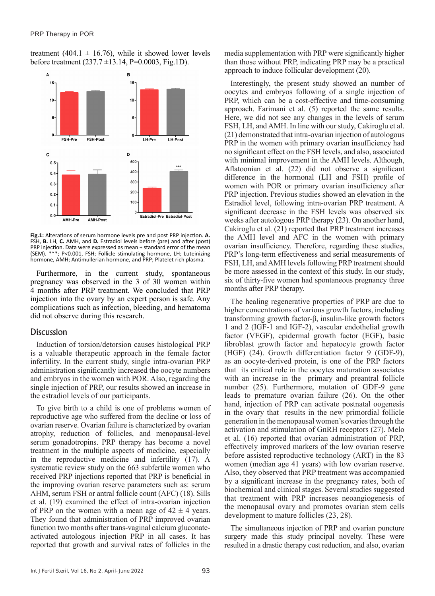treatment (404.1  $\pm$  16.76), while it showed lower levels before treatment  $(237.7 \pm 13.14, P=0.0003, Fig.1D)$ .



**Fig.1:** ????. **A.** FSH, **B.** LH, **C.** AMH, and **D.** Estradiol levels before (pre) and after (post) PRP PRP; Platelet rich plasma. hormone, AMH; Antimullerian hormone, and PRP; Platelet rich plasma. Fig.1: Alterations of serum hormone levels pre and post PRP injection. A. FSH, B. LH, C. AMH, and D. Estradiol levels before (pre) and after (post) PRP injection. Data were expressed as mean + standard error of the mean (SEM). \*\*\*; P<0.001, FSH; Follicle stimulating hormone, LH; Luteinizing

injection. Data were expressed as mean + standard error of the mean (SEM). \*\*\*; P<0.001, FSH; Furthermore, in the current study, spontaneous pregnancy was observed in the 3 of 30 women within 4 months after PRP treatment. We concluded that PRP injection into the ovary by an expert person is safe. Any complications such as infection, bleeding, and hematoma did not observe during this research.

## **Discussion**

Induction of torsion/detorsion causes histological PRP is a valuable therapeutic approach in the female factor infertility. In the current study, single intra-ovarian PRP administration significantly increased the oocyte numbers and embryos in the women with POR. Also, regarding the single injection of PRP, our results showed an increase in the estradiol levels of our participants.

To give birth to a child is one of problems women of reproductive age who suffered from the decline or loss of ovarian reserve. Ovarian failure is characterized by ovarian atrophy, reduction of follicles, and menopausal-level serum gonadotropins. PRP therapy has become a novel treatment in the multiple aspects of medicine, especially in the reproductive medicine and infertility (17). A systematic review study on the 663 subfertile women who received PRP injections reported that PRP is beneficial in the improving ovarian reserve parameters such as: serum AHM, serum FSH or antral follicle count (AFC) (18). Sills et al. (19) examined the effect of intra-ovarian injection of PRP on the women with a mean age of  $42 \pm 4$  years. They found that administration of PRP improved ovarian function two months after trans-vaginal calcium gluconateactivated autologous injection PRP in all cases. It has reported that growth and survival rates of follicles in the

media supplementation with PRP were significantly higher than those without PRP, indicating PRP may be a practical approach to induce follicular development (20).

Interestingly, the present study showed an number of oocytes and embryos following of a single injection of PRP, which can be a cost-effective and time-consuming approach. Farimani et al. (5) reported the same results. Here, we did not see any changes in the levels of serum FSH, LH, and AMH. In line with our study, Cakiroglu et al. (21) demonstrated that intra-ovarian injection of autologous PRP in the women with primary ovarian insufficiency had no significant effect on the FSH levels, and also, associated with minimal improvement in the AMH levels. Although, Aflatoonian et al. (22) did not observe a significant difference in the hormonal (LH and FSH) profile of women with POR or primary ovarian insufficiency after PRP injection. Previous studies showed an elevation in the Estradiol level, following intra-ovarian PRP treatment. A significant decrease in the FSH levels was observed six weeks after autologous PRP therapy (23). On another hand, Cakiroglu et al. (21) reported that PRP treatment increases the AMH level and AFC in the women with primary ovarian insufficiency. Therefore, regarding these studies, PRP's long-term effectiveness and serial measurements of FSH, LH, and AMH levels following PRP treatment should be more assessed in the context of this study. In our study, six of thirty-five women had spontaneous pregnancy three months after PRP therapy.

The healing regenerative properties of PRP are due to higher concentrations of various growth factors, including transforming growth factor-β, insulin-like growth factors 1 and 2 (IGF-1 and IGF-2), vascular endothelial growth factor (VEGF), epidermal growth factor (EGF), basic fibroblast growth factor and hepatocyte growth factor (HGF) (24). Growth differentiation factor 9 (GDF-9), as an oocyte-derived protein, is one of the PRP factors that its critical role in the oocytes maturation associates with an increase in the primary and preantral follicle number (25). Furthermore, mutation of GDF-9 gene leads to premature ovarian failure (26). On the other hand, injection of PRP can activate postnatal oogenesis in the ovary that results in the new primordial follicle generation in the menopausal women's ovaries through the activation and stimulation of GnRH receptors (27). Melo et al. (16) reported that ovarian administration of PRP, effectively improved markers of the low ovarian reserve before assisted reproductive technology (ART) in the 83 women (median age 41 years) with low ovarian reserve. Also, they observed that PRP treatment was accompanied by a significant increase in the pregnancy rates, both of biochemical and clinical stages. Several studies suggested that treatment with PRP increases neoangiogenesis of the menopausal ovary and promotes ovarian stem cells development to mature follicles (23, 28).

The simultaneous injection of PRP and ovarian puncture surgery made this study principal novelty. These were resulted in a drastic therapy cost reduction, and also, ovarian